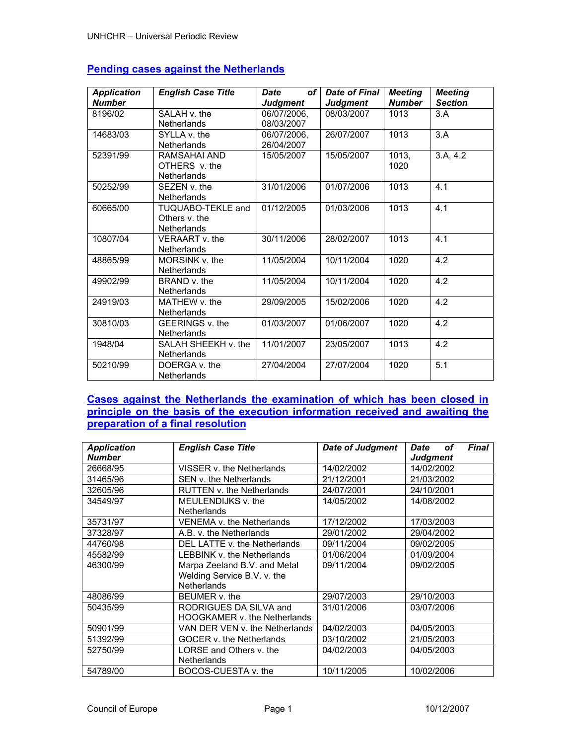| <b>Application</b><br><b>Number</b> | <b>English Case Title</b>                                | <b>Date</b><br>of <sub>l</sub><br><b>Judgment</b> | Date of Final<br><b>Judgment</b> | <b>Meeting</b><br><b>Number</b> | <b>Meeting</b><br><b>Section</b> |
|-------------------------------------|----------------------------------------------------------|---------------------------------------------------|----------------------------------|---------------------------------|----------------------------------|
| 8196/02                             | SALAH v. the                                             | 06/07/2006,                                       | 08/03/2007                       | 1013                            | 3.A                              |
|                                     | <b>Netherlands</b>                                       | 08/03/2007                                        |                                  |                                 |                                  |
| 14683/03                            | SYLLA v. the<br><b>Netherlands</b>                       | 06/07/2006,<br>26/04/2007                         | 26/07/2007                       | 1013                            | 3.A                              |
| 52391/99                            | RAMSAHAI AND<br>OTHERS v. the                            | 15/05/2007                                        | 15/05/2007                       | 1013,<br>1020                   | 3.A, 4.2                         |
|                                     | <b>Netherlands</b>                                       |                                                   |                                  |                                 |                                  |
| 50252/99                            | SEZEN v. the<br><b>Netherlands</b>                       | 31/01/2006                                        | 01/07/2006                       | 1013                            | 4.1                              |
| 60665/00                            | TUQUABO-TEKLE and<br>Others v. the<br><b>Netherlands</b> | 01/12/2005                                        | 01/03/2006                       | 1013                            | 4.1                              |
| 10807/04                            | VFRAART v. the<br><b>Netherlands</b>                     | 30/11/2006                                        | 28/02/2007                       | 1013                            | 4.1                              |
| 48865/99                            | MORSINK v. the<br><b>Netherlands</b>                     | 11/05/2004                                        | 10/11/2004                       | 1020                            | 4.2                              |
| 49902/99                            | BRAND v. the<br><b>Netherlands</b>                       | 11/05/2004                                        | 10/11/2004                       | 1020                            | 4.2                              |
| 24919/03                            | MATHFW v. the<br><b>Netherlands</b>                      | 29/09/2005                                        | 15/02/2006                       | 1020                            | 4.2                              |
| 30810/03                            | GEERINGS v. the<br><b>Netherlands</b>                    | 01/03/2007                                        | 01/06/2007                       | 1020                            | 4.2                              |
| 1948/04                             | SALAH SHEEKH v. the<br><b>Netherlands</b>                | 11/01/2007                                        | 23/05/2007                       | 1013                            | 4.2                              |
| 50210/99                            | DOERGA v. the<br><b>Netherlands</b>                      | 27/04/2004                                        | 27/07/2004                       | 1020                            | $\overline{5.1}$                 |

# **Pending cases against the Netherlands**

# **Cases against the Netherlands the examination of which has been closed in principle on the basis of the execution information received and awaiting the preparation of a final resolution**

| <b>Application</b><br><b>Number</b> | <b>English Case Title</b>           | <b>Date of Judgment</b> | <b>Date</b><br><b>Final</b><br>οf<br><b>Judgment</b> |  |
|-------------------------------------|-------------------------------------|-------------------------|------------------------------------------------------|--|
| 26668/95                            | VISSER v. the Netherlands           | 14/02/2002              | 14/02/2002                                           |  |
| 31465/96                            | SEN v. the Netherlands              | 21/12/2001              | 21/03/2002                                           |  |
|                                     |                                     |                         |                                                      |  |
| 32605/96                            | <b>RUTTEN v. the Netherlands</b>    | 24/07/2001              | 24/10/2001                                           |  |
| 34549/97                            | MEULENDIJKS v. the                  | 14/05/2002              | 14/08/2002                                           |  |
|                                     | <b>Netherlands</b>                  |                         |                                                      |  |
| 35731/97                            | VENEMA v. the Netherlands           | 17/12/2002              | 17/03/2003                                           |  |
| 37328/97                            | A.B. v. the Netherlands             | 29/01/2002              | 29/04/2002                                           |  |
| 44760/98                            | DEL LATTE v. the Netherlands        | 09/11/2004              | 09/02/2005                                           |  |
| 45582/99                            | <b>LEBBINK v. the Netherlands</b>   | 01/06/2004              | 01/09/2004                                           |  |
| 46300/99                            | Marpa Zeeland B.V. and Metal        | 09/11/2004              | 09/02/2005                                           |  |
|                                     | Welding Service B.V. v. the         |                         |                                                      |  |
|                                     | Netherlands                         |                         |                                                      |  |
| 48086/99                            | BEUMER <sub>v.</sub> the            | 29/07/2003              | 29/10/2003                                           |  |
| 50435/99                            | RODRIGUES DA SILVA and              | 31/01/2006              | 03/07/2006                                           |  |
|                                     | <b>HOOGKAMER v. the Netherlands</b> |                         |                                                      |  |
| 50901/99                            | VAN DER VEN v. the Netherlands      | 04/02/2003              | 04/05/2003                                           |  |
| 51392/99                            | GOCER v. the Netherlands            | 03/10/2002              | 21/05/2003                                           |  |
| 52750/99                            | LORSE and Others v. the             | 04/02/2003              | 04/05/2003                                           |  |
|                                     | <b>Netherlands</b>                  |                         |                                                      |  |
| 54789/00                            | BOCOS-CUESTA v. the                 | 10/11/2005              | 10/02/2006                                           |  |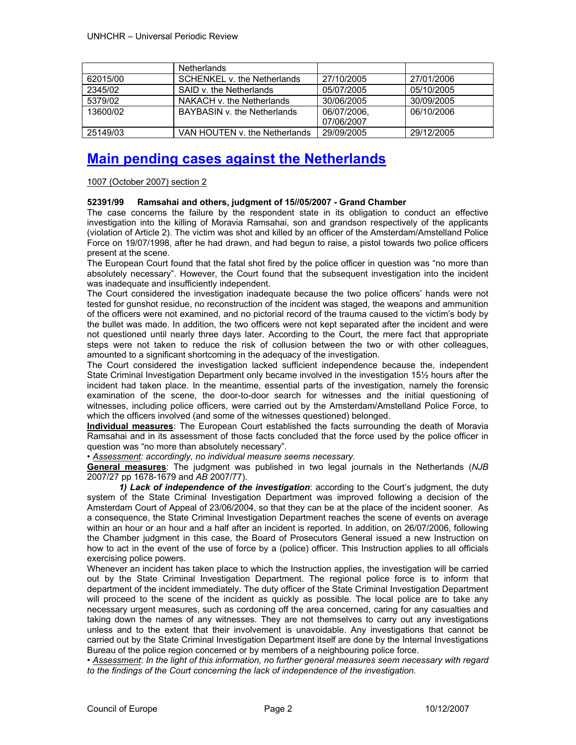|          | <b>Netherlands</b>            |             |            |
|----------|-------------------------------|-------------|------------|
| 62015/00 | SCHENKEL v. the Netherlands   | 27/10/2005  | 27/01/2006 |
| 2345/02  | SAID v. the Netherlands       | 05/07/2005  | 05/10/2005 |
| 5379/02  | NAKACH v. the Netherlands     | 30/06/2005  | 30/09/2005 |
| 13600/02 | BAYBASIN v. the Netherlands   | 06/07/2006. | 06/10/2006 |
|          |                               | 07/06/2007  |            |
| 25149/03 | VAN HOUTEN v. the Netherlands | 29/09/2005  | 29/12/2005 |

# **Main pending cases against the Netherlands**

1007 (October 2007) section 2

# **52391/99 Ramsahai and others, judgment of 15//05/2007 - Grand Chamber**

The case concerns the failure by the respondent state in its obligation to conduct an effective investigation into the killing of Moravia Ramsahai, son and grandson respectively of the applicants (violation of Article 2). The victim was shot and killed by an officer of the Amsterdam/Amstelland Police Force on 19/07/1998, after he had drawn, and had begun to raise, a pistol towards two police officers present at the scene.

The European Court found that the fatal shot fired by the police officer in question was "no more than absolutely necessary". However, the Court found that the subsequent investigation into the incident was inadequate and insufficiently independent.

The Court considered the investigation inadequate because the two police officers' hands were not tested for gunshot residue, no reconstruction of the incident was staged, the weapons and ammunition of the officers were not examined, and no pictorial record of the trauma caused to the victim's body by the bullet was made. In addition, the two officers were not kept separated after the incident and were not questioned until nearly three days later. According to the Court, the mere fact that appropriate steps were not taken to reduce the risk of collusion between the two or with other colleagues, amounted to a significant shortcoming in the adequacy of the investigation.

The Court considered the investigation lacked sufficient independence because the, independent State Criminal Investigation Department only became involved in the investigation 15½ hours after the incident had taken place. In the meantime, essential parts of the investigation, namely the forensic examination of the scene, the door-to-door search for witnesses and the initial questioning of witnesses, including police officers, were carried out by the Amsterdam/Amstelland Police Force, to which the officers involved (and some of the witnesses questioned) belonged.

**Individual measures**: The European Court established the facts surrounding the death of Moravia Ramsahai and in its assessment of those facts concluded that the force used by the police officer in question was "no more than absolutely necessary".

• *Assessment: accordingly, no individual measure seems necessary.*

**General measures**: The judgment was published in two legal journals in the Netherlands (*NJB* 2007/27 pp 1678-1679 and *AB* 2007/77).

*1) Lack of independence of the investigation*: according to the Court's judgment, the duty system of the State Criminal Investigation Department was improved following a decision of the Amsterdam Court of Appeal of 23/06/2004, so that they can be at the place of the incident sooner. As a consequence, the State Criminal Investigation Department reaches the scene of events on average within an hour or an hour and a half after an incident is reported. In addition, on 26/07/2006, following the Chamber judgment in this case, the Board of Prosecutors General issued a new Instruction on how to act in the event of the use of force by a (police) officer. This Instruction applies to all officials exercising police powers.

Whenever an incident has taken place to which the Instruction applies, the investigation will be carried out by the State Criminal Investigation Department. The regional police force is to inform that department of the incident immediately. The duty officer of the State Criminal Investigation Department will proceed to the scene of the incident as quickly as possible. The local police are to take any necessary urgent measures, such as cordoning off the area concerned, caring for any casualties and taking down the names of any witnesses. They are not themselves to carry out any investigations unless and to the extent that their involvement is unavoidable. Any investigations that cannot be carried out by the State Criminal Investigation Department itself are done by the Internal Investigations Bureau of the police region concerned or by members of a neighbouring police force.

• *Assessment*: *In the light of this information, no further general measures seem necessary with regard to the findings of the Court concerning the lack of independence of the investigation.*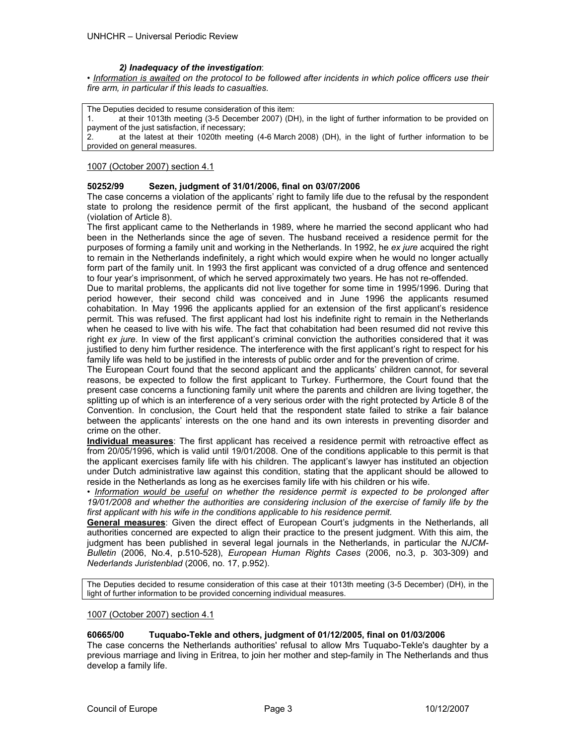### *2) Inadequacy of the investigation*:

• *Information is awaited on the protocol to be followed after incidents in which police officers use their fire arm, in particular if this leads to casualties.*

The Deputies decided to resume consideration of this item: at their 1013th meeting (3-5 December 2007) (DH), in the light of further information to be provided on payment of the just satisfaction, if necessary; 2. at the latest at their 1020th meeting (4-6 March 2008) (DH), in the light of further information to be provided on general measures.

#### 1007 (October 2007) section 4.1

#### **50252/99 Sezen, judgment of 31/01/2006, final on 03/07/2006**

The case concerns a violation of the applicants' right to family life due to the refusal by the respondent state to prolong the residence permit of the first applicant, the husband of the second applicant (violation of Article 8).

The first applicant came to the Netherlands in 1989, where he married the second applicant who had been in the Netherlands since the age of seven. The husband received a residence permit for the purposes of forming a family unit and working in the Netherlands. In 1992, he *ex jure* acquired the right to remain in the Netherlands indefinitely, a right which would expire when he would no longer actually form part of the family unit. In 1993 the first applicant was convicted of a drug offence and sentenced to four year's imprisonment, of which he served approximately two years. He has not re-offended.

Due to marital problems, the applicants did not live together for some time in 1995/1996. During that period however, their second child was conceived and in June 1996 the applicants resumed cohabitation. In May 1996 the applicants applied for an extension of the first applicant's residence permit. This was refused. The first applicant had lost his indefinite right to remain in the Netherlands when he ceased to live with his wife. The fact that cohabitation had been resumed did not revive this right *ex jure*. In view of the first applicant's criminal conviction the authorities considered that it was justified to deny him further residence. The interference with the first applicant's right to respect for his family life was held to be justified in the interests of public order and for the prevention of crime.

The European Court found that the second applicant and the applicants' children cannot, for several reasons, be expected to follow the first applicant to Turkey. Furthermore, the Court found that the present case concerns a functioning family unit where the parents and children are living together, the splitting up of which is an interference of a very serious order with the right protected by Article 8 of the Convention. In conclusion, the Court held that the respondent state failed to strike a fair balance between the applicants' interests on the one hand and its own interests in preventing disorder and crime on the other.

**Individual measures**: The first applicant has received a residence permit with retroactive effect as from 20/05/1996, which is valid until 19/01/2008. One of the conditions applicable to this permit is that the applicant exercises family life with his children. The applicant's lawyer has instituted an objection under Dutch administrative law against this condition, stating that the applicant should be allowed to reside in the Netherlands as long as he exercises family life with his children or his wife.

*• Information would be useful on whether the residence permit is expected to be prolonged after 19/01/2008 and whether the authorities are considering inclusion of the exercise of family life by the first applicant with his wife in the conditions applicable to his residence permit.* 

**General measures**: Given the direct effect of European Court's judgments in the Netherlands, all authorities concerned are expected to align their practice to the present judgment. With this aim, the judgment has been published in several legal journals in the Netherlands, in particular the *NJCM-Bulletin* (2006, No.4, p.510-528), *European Human Rights Cases* (2006, no.3, p. 303-309) and *Nederlands Juristenblad* (2006, no. 17, p.952).

The Deputies decided to resume consideration of this case at their 1013th meeting (3-5 December) (DH), in the light of further information to be provided concerning individual measures.

#### 1007 (October 2007) section 4.1

### **60665/00 Tuquabo-Tekle and others, judgment of 01/12/2005, final on 01/03/2006**

The case concerns the Netherlands authorities' refusal to allow Mrs Tuquabo-Tekle's daughter by a previous marriage and living in Eritrea, to join her mother and step-family in The Netherlands and thus develop a family life.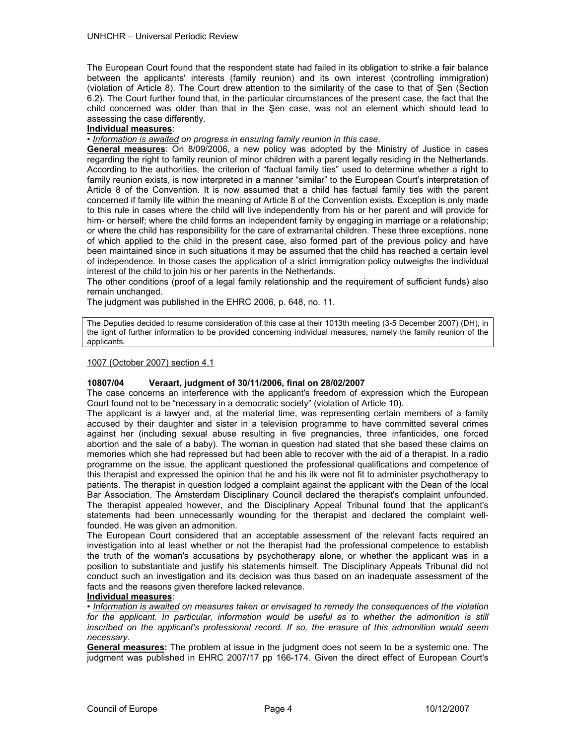The European Court found that the respondent state had failed in its obligation to strike a fair balance between the applicants' interests (family reunion) and its own interest (controlling immigration) (violation of Article 8). The Court drew attention to the similarity of the case to that of Şen (Section 6.2). The Court further found that, in the particular circumstances of the present case, the fact that the child concerned was older than that in the Şen case, was not an element which should lead to assessing the case differently.

# **Individual measures**:

*• Information is awaited on progress in ensuring family reunion in this case*.

**General measures**: On 8/09/2006, a new policy was adopted by the Ministry of Justice in cases regarding the right to family reunion of minor children with a parent legally residing in the Netherlands. According to the authorities, the criterion of "factual family ties" used to determine whether a right to family reunion exists, is now interpreted in a manner "similar" to the European Court's interpretation of Article 8 of the Convention. It is now assumed that a child has factual family ties with the parent concerned if family life within the meaning of Article 8 of the Convention exists. Exception is only made to this rule in cases where the child will live independently from his or her parent and will provide for him- or herself; where the child forms an independent family by engaging in marriage or a relationship; or where the child has responsibility for the care of extramarital children. These three exceptions, none of which applied to the child in the present case, also formed part of the previous policy and have been maintained since in such situations it may be assumed that the child has reached a certain level of independence. In those cases the application of a strict immigration policy outweighs the individual interest of the child to join his or her parents in the Netherlands.

The other conditions (proof of a legal family relationship and the requirement of sufficient funds) also remain unchanged.

The judgment was published in the EHRC 2006, p. 648, no. 11.

The Deputies decided to resume consideration of this case at their 1013th meeting (3-5 December 2007) (DH), in the light of further information to be provided concerning individual measures, namely the family reunion of the applicants.

### 1007 (October 2007) section 4.1

### **10807/04 Veraart, judgment of 30/11/2006, final on 28/02/2007**

The case concerns an interference with the applicant's freedom of expression which the European Court found not to be "necessary in a democratic society" (violation of Article 10).

The applicant is a lawyer and, at the material time, was representing certain members of a family accused by their daughter and sister in a television programme to have committed several crimes against her (including sexual abuse resulting in five pregnancies, three infanticides, one forced abortion and the sale of a baby). The woman in question had stated that she based these claims on memories which she had repressed but had been able to recover with the aid of a therapist. In a radio programme on the issue, the applicant questioned the professional qualifications and competence of this therapist and expressed the opinion that he and his ilk were not fit to administer psychotherapy to patients. The therapist in question lodged a complaint against the applicant with the Dean of the local Bar Association. The Amsterdam Disciplinary Council declared the therapist's complaint unfounded. The therapist appealed however, and the Disciplinary Appeal Tribunal found that the applicant's statements had been unnecessarily wounding for the therapist and declared the complaint wellfounded. He was given an admonition.

The European Court considered that an acceptable assessment of the relevant facts required an investigation into at least whether or not the therapist had the professional competence to establish the truth of the woman's accusations by psychotherapy alone, or whether the applicant was in a position to substantiate and justify his statements himself. The Disciplinary Appeals Tribunal did not conduct such an investigation and its decision was thus based on an inadequate assessment of the facts and the reasons given therefore lacked relevance.

# **Individual measures**:

• *Information is awaited on measures taken or envisaged to remedy the consequences of the violation*  for the applicant. In particular, information would be useful as to whether the admonition is still *inscribed on the applicant's professional record. If so, the erasure of this admonition would seem necessary.* 

**General measures:** The problem at issue in the judgment does not seem to be a systemic one. The judgment was published in EHRC 2007/17 pp 166-174. Given the direct effect of European Court's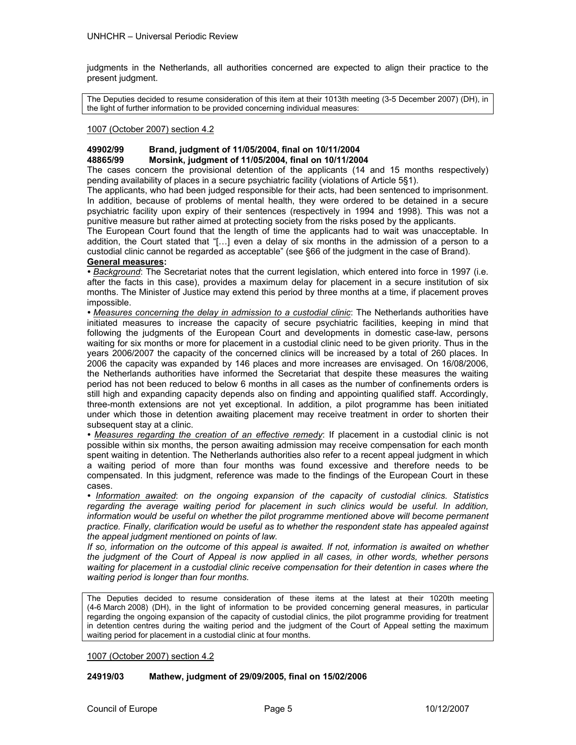judgments in the Netherlands, all authorities concerned are expected to align their practice to the present judgment.

The Deputies decided to resume consideration of this item at their 1013th meeting (3-5 December 2007) (DH), in the light of further information to be provided concerning individual measures:

### 1007 (October 2007) section 4.2

# **49902/99 Brand, judgment of 11/05/2004, final on 10/11/2004 48865/99 Morsink, judgment of 11/05/2004, final on 10/11/2004**

The cases concern the provisional detention of the applicants (14 and 15 months respectively) pending availability of places in a secure psychiatric facility (violations of Article 5§1).

The applicants, who had been judged responsible for their acts, had been sentenced to imprisonment. In addition, because of problems of mental health, they were ordered to be detained in a secure psychiatric facility upon expiry of their sentences (respectively in 1994 and 1998). This was not a punitive measure but rather aimed at protecting society from the risks posed by the applicants.

The European Court found that the length of time the applicants had to wait was unacceptable. In addition, the Court stated that "[…] even a delay of six months in the admission of a person to a custodial clinic cannot be regarded as acceptable" (see §66 of the judgment in the case of Brand).

# **General measures:**

*• Background*: The Secretariat notes that the current legislation, which entered into force in 1997 (i.e. after the facts in this case), provides a maximum delay for placement in a secure institution of six months. The Minister of Justice may extend this period by three months at a time, if placement proves impossible.

*• Measures concerning the delay in admission to a custodial clinic*: The Netherlands authorities have initiated measures to increase the capacity of secure psychiatric facilities, keeping in mind that following the judgments of the European Court and developments in domestic case-law, persons waiting for six months or more for placement in a custodial clinic need to be given priority. Thus in the years 2006/2007 the capacity of the concerned clinics will be increased by a total of 260 places. In 2006 the capacity was expanded by 146 places and more increases are envisaged. On 16/08/2006, the Netherlands authorities have informed the Secretariat that despite these measures the waiting period has not been reduced to below 6 months in all cases as the number of confinements orders is still high and expanding capacity depends also on finding and appointing qualified staff. Accordingly, three-month extensions are not yet exceptional. In addition, a pilot programme has been initiated under which those in detention awaiting placement may receive treatment in order to shorten their subsequent stay at a clinic.

*• Measures regarding the creation of an effective remedy*: If placement in a custodial clinic is not possible within six months, the person awaiting admission may receive compensation for each month spent waiting in detention. The Netherlands authorities also refer to a recent appeal judgment in which a waiting period of more than four months was found excessive and therefore needs to be compensated. In this judgment, reference was made to the findings of the European Court in these cases.

*• Information awaited*: *on the ongoing expansion of the capacity of custodial clinics. Statistics*  regarding the average waiting period for placement in such clinics would be useful. In addition, *information would be useful on whether the pilot programme mentioned above will become permanent practice. Finally, clarification would be useful as to whether the respondent state has appealed against the appeal judgment mentioned on points of law.* 

*If so, information on the outcome of this appeal is awaited. If not, information is awaited on whether the judgment of the Court of Appeal is now applied in all cases, in other words, whether persons waiting for placement in a custodial clinic receive compensation for their detention in cases where the waiting period is longer than four months.* 

The Deputies decided to resume consideration of these items at the latest at their 1020th meeting (4-6 March 2008) (DH), in the light of information to be provided concerning general measures, in particular regarding the ongoing expansion of the capacity of custodial clinics, the pilot programme providing for treatment in detention centres during the waiting period and the judgment of the Court of Appeal setting the maximum waiting period for placement in a custodial clinic at four months.

1007 (October 2007) section 4.2

### **24919/03 Mathew, judgment of 29/09/2005, final on 15/02/2006**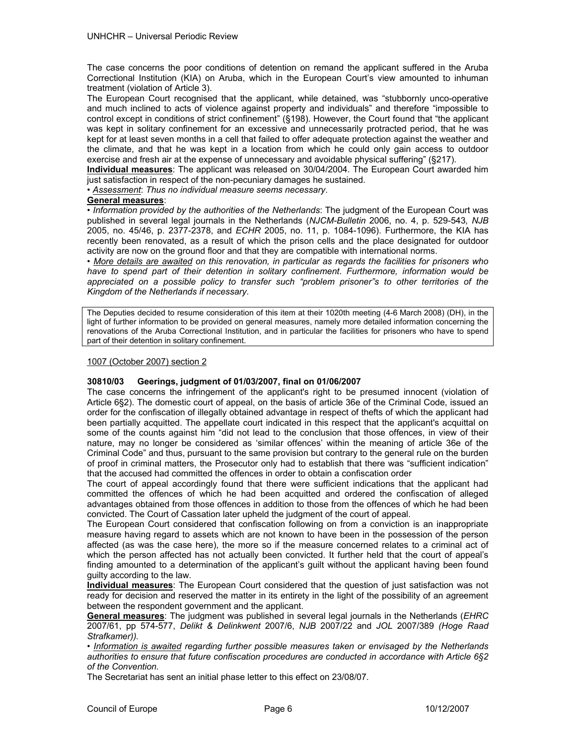The case concerns the poor conditions of detention on remand the applicant suffered in the Aruba Correctional Institution (KIA) on Aruba, which in the European Court's view amounted to inhuman treatment (violation of Article 3).

The European Court recognised that the applicant, while detained, was "stubbornly unco-operative and much inclined to acts of violence against property and individuals" and therefore "impossible to control except in conditions of strict confinement" (§198). However, the Court found that "the applicant was kept in solitary confinement for an excessive and unnecessarily protracted period, that he was kept for at least seven months in a cell that failed to offer adequate protection against the weather and the climate, and that he was kept in a location from which he could only gain access to outdoor exercise and fresh air at the expense of unnecessary and avoidable physical suffering" (§217).

**Individual measures**: The applicant was released on 30/04/2004. The European Court awarded him just satisfaction in respect of the non-pecuniary damages he sustained.

• *Assessment*: *Thus no individual measure seems necessary*.

#### **General measures**:

• *Information provided by the authorities of the Netherlands*: The judgment of the European Court was published in several legal journals in the Netherlands (*NJCM-Bulletin* 2006, no. 4, p. 529-543*, NJB*  2005, no. 45/46, p. 2377-2378, and *ECHR* 2005, no. 11, p. 1084-1096). Furthermore, the KIA has recently been renovated, as a result of which the prison cells and the place designated for outdoor activity are now on the ground floor and that they are compatible with international norms.

• *More details are awaited on this renovation, in particular as regards the facilities for prisoners who have to spend part of their detention in solitary confinement*. *Furthermore, information would be appreciated on a possible policy to transfer such "problem prisoner"s to other territories of the Kingdom of the Netherlands if necessary*.

The Deputies decided to resume consideration of this item at their 1020th meeting (4-6 March 2008) (DH), in the light of further information to be provided on general measures, namely more detailed information concerning the renovations of the Aruba Correctional Institution, and in particular the facilities for prisoners who have to spend part of their detention in solitary confinement.

#### 1007 (October 2007) section 2

### **30810/03 Geerings, judgment of 01/03/2007, final on 01/06/2007**

The case concerns the infringement of the applicant's right to be presumed innocent (violation of Article 6§2). The domestic court of appeal, on the basis of article 36e of the Criminal Code, issued an order for the confiscation of illegally obtained advantage in respect of thefts of which the applicant had been partially acquitted. The appellate court indicated in this respect that the applicant's acquittal on some of the counts against him "did not lead to the conclusion that those offences, in view of their nature, may no longer be considered as 'similar offences' within the meaning of article 36e of the Criminal Code" and thus, pursuant to the same provision but contrary to the general rule on the burden of proof in criminal matters, the Prosecutor only had to establish that there was "sufficient indication" that the accused had committed the offences in order to obtain a confiscation order

The court of appeal accordingly found that there were sufficient indications that the applicant had committed the offences of which he had been acquitted and ordered the confiscation of alleged advantages obtained from those offences in addition to those from the offences of which he had been convicted. The Court of Cassation later upheld the judgment of the court of appeal.

The European Court considered that confiscation following on from a conviction is an inappropriate measure having regard to assets which are not known to have been in the possession of the person affected (as was the case here), the more so if the measure concerned relates to a criminal act of which the person affected has not actually been convicted. It further held that the court of appeal's finding amounted to a determination of the applicant's guilt without the applicant having been found guilty according to the law.

**Individual measures**: The European Court considered that the question of just satisfaction was not ready for decision and reserved the matter in its entirety in the light of the possibility of an agreement between the respondent government and the applicant.

**General measures**: The judgment was published in several legal journals in the Netherlands (*EHRC*  2007/61, pp 574-577, *Delikt & Delinkwent* 2007/6, *NJB* 2007/22 and *JOL* 2007/389 *(Hoge Raad Strafkamer)).*

• *Information is awaited regarding further possible measures taken or envisaged by the Netherlands authorities to ensure that future confiscation procedures are conducted in accordance with Article 6§2 of the Convention.* 

The Secretariat has sent an initial phase letter to this effect on 23/08/07.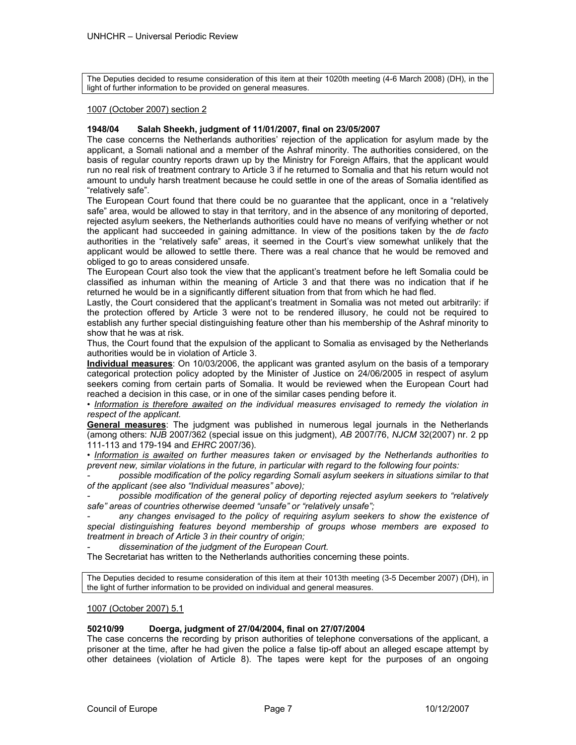The Deputies decided to resume consideration of this item at their 1020th meeting (4-6 March 2008) (DH), in the light of further information to be provided on general measures.

#### 1007 (October 2007) section 2

### **1948/04 Salah Sheekh, judgment of 11/01/2007, final on 23/05/2007**

The case concerns the Netherlands authorities' rejection of the application for asylum made by the applicant, a Somali national and a member of the Ashraf minority. The authorities considered, on the basis of regular country reports drawn up by the Ministry for Foreign Affairs, that the applicant would run no real risk of treatment contrary to Article 3 if he returned to Somalia and that his return would not amount to unduly harsh treatment because he could settle in one of the areas of Somalia identified as "relatively safe".

The European Court found that there could be no guarantee that the applicant, once in a "relatively safe" area, would be allowed to stay in that territory, and in the absence of any monitoring of deported, rejected asylum seekers, the Netherlands authorities could have no means of verifying whether or not the applicant had succeeded in gaining admittance. In view of the positions taken by the *de facto* authorities in the "relatively safe" areas, it seemed in the Court's view somewhat unlikely that the applicant would be allowed to settle there. There was a real chance that he would be removed and obliged to go to areas considered unsafe.

The European Court also took the view that the applicant's treatment before he left Somalia could be classified as inhuman within the meaning of Article 3 and that there was no indication that if he returned he would be in a significantly different situation from that from which he had fled.

Lastly, the Court considered that the applicant's treatment in Somalia was not meted out arbitrarily: if the protection offered by Article 3 were not to be rendered illusory, he could not be required to establish any further special distinguishing feature other than his membership of the Ashraf minority to show that he was at risk.

Thus, the Court found that the expulsion of the applicant to Somalia as envisaged by the Netherlands authorities would be in violation of Article 3.

**Individual measures**: On 10/03/2006, the applicant was granted asylum on the basis of a temporary categorical protection policy adopted by the Minister of Justice on 24/06/2005 in respect of asylum seekers coming from certain parts of Somalia. It would be reviewed when the European Court had reached a decision in this case, or in one of the similar cases pending before it.

• *Information is therefore awaited on the individual measures envisaged to remedy the violation in respect of the applicant.* 

**General measures**: The judgment was published in numerous legal journals in the Netherlands (among others: *NJB* 2007/362 (special issue on this judgment), *AB* 2007/76, *NJCM* 32(2007) nr. 2 pp 111-113 and 179-194 and *EHRC* 2007/36).

• *Information is awaited on further measures taken or envisaged by the Netherlands authorities to prevent new, similar violations in the future, in particular with regard to the following four points:* 

*- possible modification of the policy regarding Somali asylum seekers in situations similar to that of the applicant (see also "Individual measures" above);* 

*- possible modification of the general policy of deporting rejected asylum seekers to "relatively safe" areas of countries otherwise deemed "unsafe" or "relatively unsafe";* 

any changes envisaged to the policy of requiring asylum seekers to show the existence of *special distinguishing features beyond membership of groups whose members are exposed to treatment in breach of Article 3 in their country of origin;* 

*- dissemination of the judgment of the European Court.* 

The Secretariat has written to the Netherlands authorities concerning these points.

The Deputies decided to resume consideration of this item at their 1013th meeting (3-5 December 2007) (DH), in the light of further information to be provided on individual and general measures.

#### 1007 (October 2007) 5.1

### **50210/99 Doerga, judgment of 27/04/2004, final on 27/07/2004**

The case concerns the recording by prison authorities of telephone conversations of the applicant, a prisoner at the time, after he had given the police a false tip-off about an alleged escape attempt by other detainees (violation of Article 8). The tapes were kept for the purposes of an ongoing